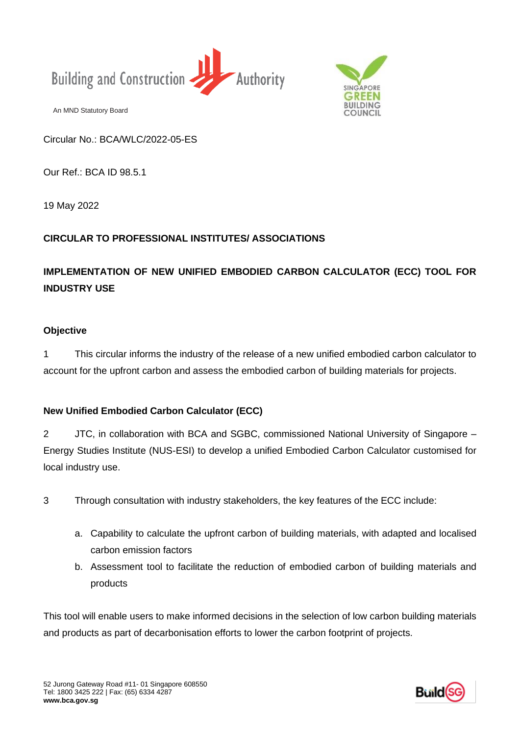



Circular No.: BCA/WLC/2022-05-ES

Our Ref.: BCA ID 98.5.1

19 May 2022

## **CIRCULAR TO PROFESSIONAL INSTITUTES/ ASSOCIATIONS**

# **IMPLEMENTATION OF NEW UNIFIED EMBODIED CARBON CALCULATOR (ECC) TOOL FOR INDUSTRY USE**

## **Objective**

1 This circular informs the industry of the release of a new unified embodied carbon calculator to account for the upfront carbon and assess the embodied carbon of building materials for projects.

## **New Unified Embodied Carbon Calculator (ECC)**

An MND Statutory Board<br> **Circular No.: BCAV**<br> **Our Ref.: BCA ID 98**<br> **19 May 2022<br>
CIRCULAR TO PR(<br>
<b>IMPLEMENTATION**<br> **IMDUSTRY USE**<br> **Objective**<br>
This circular<br>
account for the upfre<br> **New Unified Embo**<br> **2** JTC, in colla 2 JTC, in collaboration with BCA and SGBC, commissioned National University of Singapore – Energy Studies Institute (NUS-ESI) to develop a unified Embodied Carbon Calculator customised for local industry use.

- 3 Through consultation with industry stakeholders, the key features of the ECC include:
	- a. Capability to calculate the upfront carbon of building materials, with adapted and localised carbon emission factors
	- b. Assessment tool to facilitate the reduction of embodied carbon of building materials and products

This tool will enable users to make informed decisions in the selection of low carbon building materials and products as part of decarbonisation efforts to lower the carbon footprint of projects.

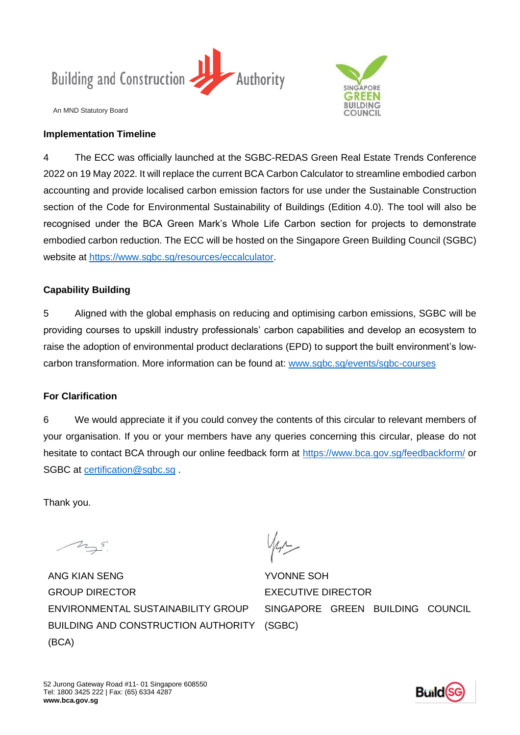

#### **Implementation Timeline**



An MND Statutory Board<br> **Implementation Tir**<br>
4 The ECC wa<br>
2022 on 19 May 202<br>
accounting and prov<br>
section of the Code<br>
recognised under t<br>
embodied carbon re<br>
website at <u>https://www.</u><br> **Capability Building**<br>
5 Aligned 4 The ECC was officially launched at the SGBC-REDAS Green Real Estate Trends Conference 2022 on 19 May 2022. It will replace the current BCA Carbon Calculator to streamline embodied carbon accounting and provide localised carbon emission factors for use under the Sustainable Construction section of the Code for Environmental Sustainability of Buildings (Edition 4.0). The tool will also be recognised under the BCA Green Mark's Whole Life Carbon section for projects to demonstrate embodied carbon reduction. The ECC will be hosted on the Singapore Green Building Council (SGBC) website at [https://www.sgbc.sg/resources/eccalculator.](https://www.sgbc.sg/resources/eccalculator)

## **Capability Building**

5 Aligned with the global emphasis on reducing and optimising carbon emissions, SGBC will be providing courses to upskill industry professionals' carbon capabilities and develop an ecosystem to raise the adoption of environmental product declarations (EPD) to support the built environment's lowcarbon transformation. More information can be found at: www.sgbc.sg/events/sgbc-courses

### **For Clarification**

6 We would appreciate it if you could convey the contents of this circular to relevant members of your organisation. If you or your members have any queries concerning this circular, please do not hesitate to contact BCA through our online feedback form at<https://www.bca.gov.sg/feedbackform/> or SGBC at [certification@sgbc.sg](mailto:certification@sgbc.sg).

Thank you.

ANG KIAN SENG GROUP DIRECTOR ENVIRONMENTAL SUSTAINABILITY GROUP BUILDING AND CONSTRUCTION AUTHORITY (BCA)

YVONNE SOH EXECUTIVE DIRECTOR SINGAPORE GREEN BUILDING COUNCIL (SGBC)

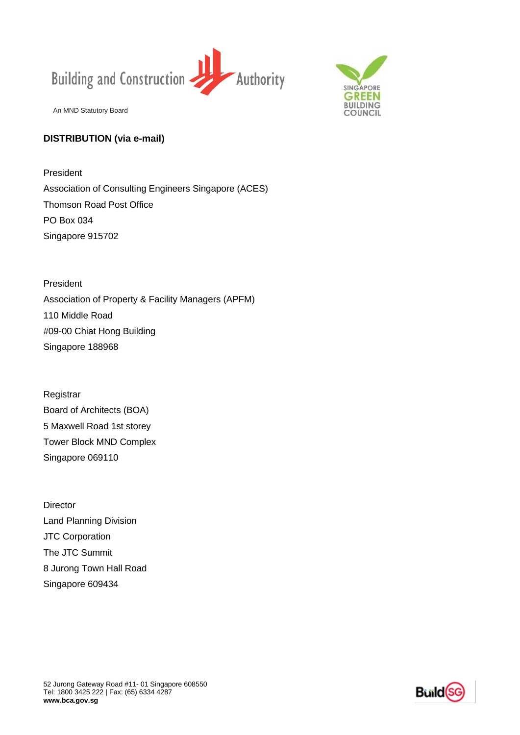



## **DISTRIBUTION (via e-mail)**

President Association of Consulting Engineers Singapore (ACES) Thomson Road Post Office PO Box 034 Singapore 915702

President Association of Property & Facility Managers (APFM) 110 Middle Road #09-00 Chiat Hong Building Singapore 188968

Registrar Board of Architects (BOA) 5 Maxwell Road 1st storey Tower Block MND Complex Singapore 069110

An MND Statutory Board<br> **DISTRIBUTION (via**<br>
President<br>
Association of Const<br>
Thomson Road Post<br>
PO Box 034<br>
Singapore 915702<br>
President<br>
Association of Prope<br>
110 Middle Road<br>
#09-00 Chiat Hong B<br>
Singapore 188968<br>
Regist **Director** Land Planning Division JTC Corporation The JTC Summit 8 Jurong Town Hall Road Singapore 609434

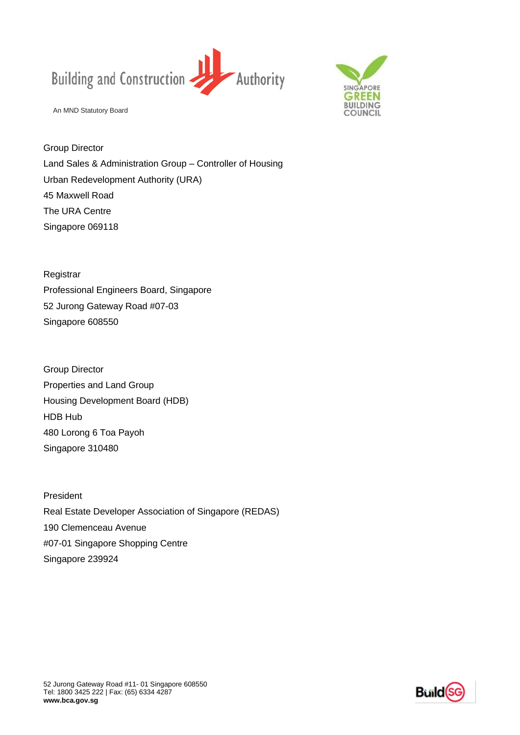



Group Director Land Sales & Administration Group – Controller of Housing Urban Redevelopment Authority (URA) 45 Maxwell Road The URA Centre Singapore 069118

Registrar Professional Engineers Board, Singapore 52 Jurong Gateway Road #07-03 Singapore 608550

An MND Statutory Board<br> **Group Director**<br>
Land Sales & Admini<br>
Urban Redevelopme<br>
45 Maxwell Road<br>
The URA Centre<br>
Singapore 069118<br>
Registrar<br>
Professional Enginee<br>
52 Jurong Gateway I<br>
Singapore 608550<br>
Group Director<br>
P Group Director Properties and Land Group Housing Development Board (HDB) HDB Hub 480 Lorong 6 Toa Payoh Singapore 310480

President Real Estate Developer Association of Singapore (REDAS) 190 Clemenceau Avenue #07-01 Singapore Shopping Centre Singapore 239924

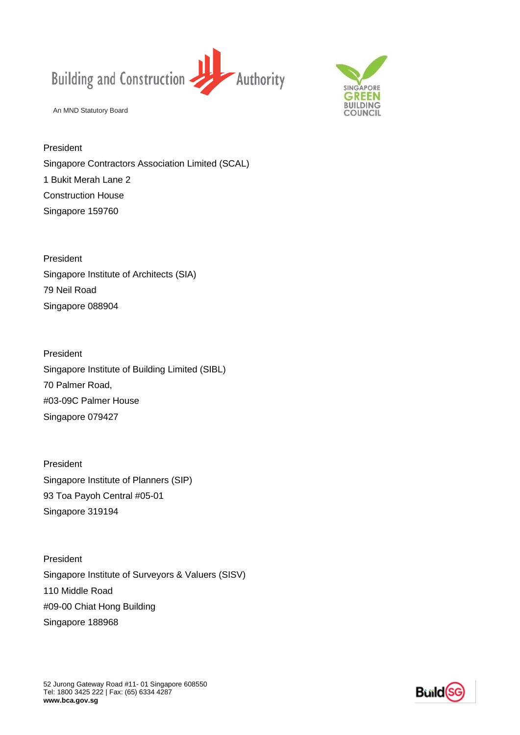



President Singapore Contractors Association Limited (SCAL) 1 Bukit Merah Lane 2 Construction House Singapore 159760

President Singapore Institute of Architects (SIA) 79 Neil Road Singapore 088904

President Singapore Institute of Building Limited (SIBL) 70 Palmer Road, #03-09C Palmer House Singapore 079427

President Singapore Institute of Planners (SIP) 93 Toa Payoh Central #05-01 Singapore 319194

An MND Statutory Board<br>
President<br>
Singapore Contracto<br>
1 Bukit Merah Lane 2<br>
Construction House<br>
Singapore 159760<br>
President<br>
Singapore 088904<br>
President<br>
President<br>
Singapore 079427<br>
President<br>
Singapore 079427<br>
Presiden President Singapore Institute of Surveyors & Valuers (SISV) 110 Middle Road #09-00 Chiat Hong Building Singapore 188968